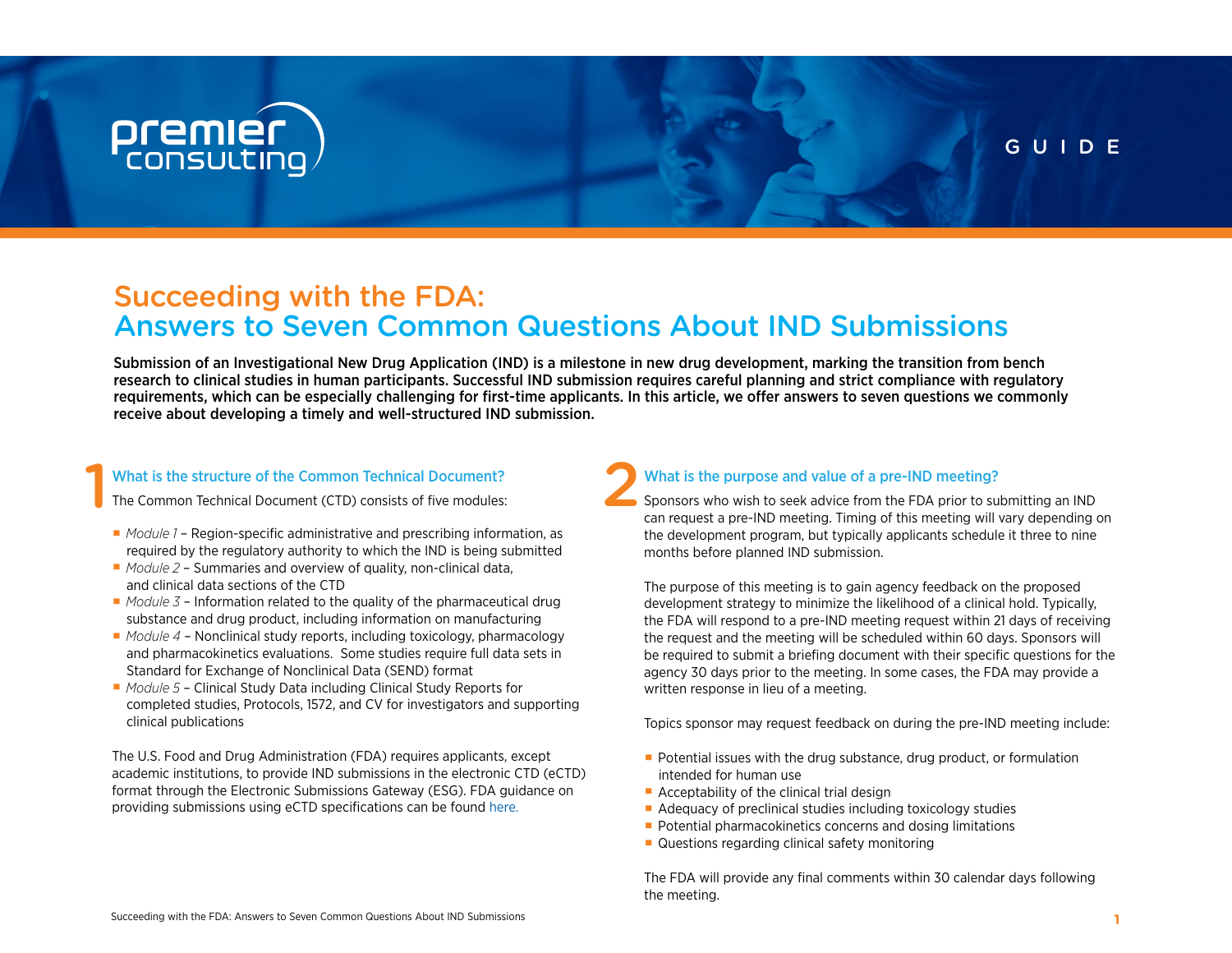### **premier**<br>consulting

#### GUIDE

### Succeeding with the FDA: Answers to Seven Common Questions About IND Submissions

Submission of an Investigational New Drug Application (IND) is a milestone in new drug development, marking the transition from bench research to clinical studies in human participants. Successful IND submission requires careful planning and strict compliance with regulatory requirements, which can be especially challenging for first-time applicants. In this article, we offer answers to seven questions we commonly receive about developing a timely and well-structured IND submission.

### What is the structure of the Common Technical Document?<br>The Common Technical Document (CTD) consists of five modules:

The Common Technical Document (CTD) consists of five modules:

- *Module 1* Region-specific administrative and prescribing information, as required by the regulatory authority to which the IND is being submitted
- ∙ *Module 2*  Summaries and overview of quality, non-clinical data, and clinical data sections of the CTD
- *Module 3* Information related to the quality of the pharmaceutical drug substance and drug product, including information on manufacturing
- ∙ *Module 4* Nonclinical study reports, including toxicology, pharmacology and pharmacokinetics evaluations. Some studies require full data sets in Standard for Exchange of Nonclinical Data (SEND) format
- *Module 5* Clinical Study Data including Clinical Study Reports for completed studies, Protocols, 1572, and CV for investigators and supporting clinical publications

The U.S. Food and Drug Administration (FDA) requires applicants, except academic institutions, to provide IND submissions in the electronic CTD (eCTD) format through the Electronic Submissions Gateway (ESG). FDA guidance on providing submissions using eCTD specifications can be found [here.](https://www.fda.gov/media/135373/download)

#### What is the purpose and value of a pre-IND meeting?

Sponsors who wish to seek advice from the FDA prior to submitting an IND can request a pre-IND meeting. Timing of this meeting will vary depending on the development program, but typically applicants schedule it three to nine months before planned IND submission.

The purpose of this meeting is to gain agency feedback on the proposed development strategy to minimize the likelihood of a clinical hold. Typically, the FDA will respond to a pre-IND meeting request within 21 days of receiving the request and the meeting will be scheduled within 60 days. Sponsors will be required to submit a briefing document with their specific questions for the agency 30 days prior to the meeting. In some cases, the FDA may provide a written response in lieu of a meeting.

Topics sponsor may request feedback on during the pre-IND meeting include:

- Potential issues with the drug substance, drug product, or formulation intended for human use
- Acceptability of the clinical trial design
- Adequacy of preclinical studies including toxicology studies
- Potential pharmacokinetics concerns and dosing limitations
- Questions regarding clinical safety monitoring

The FDA will provide any final comments within 30 calendar days following the meeting.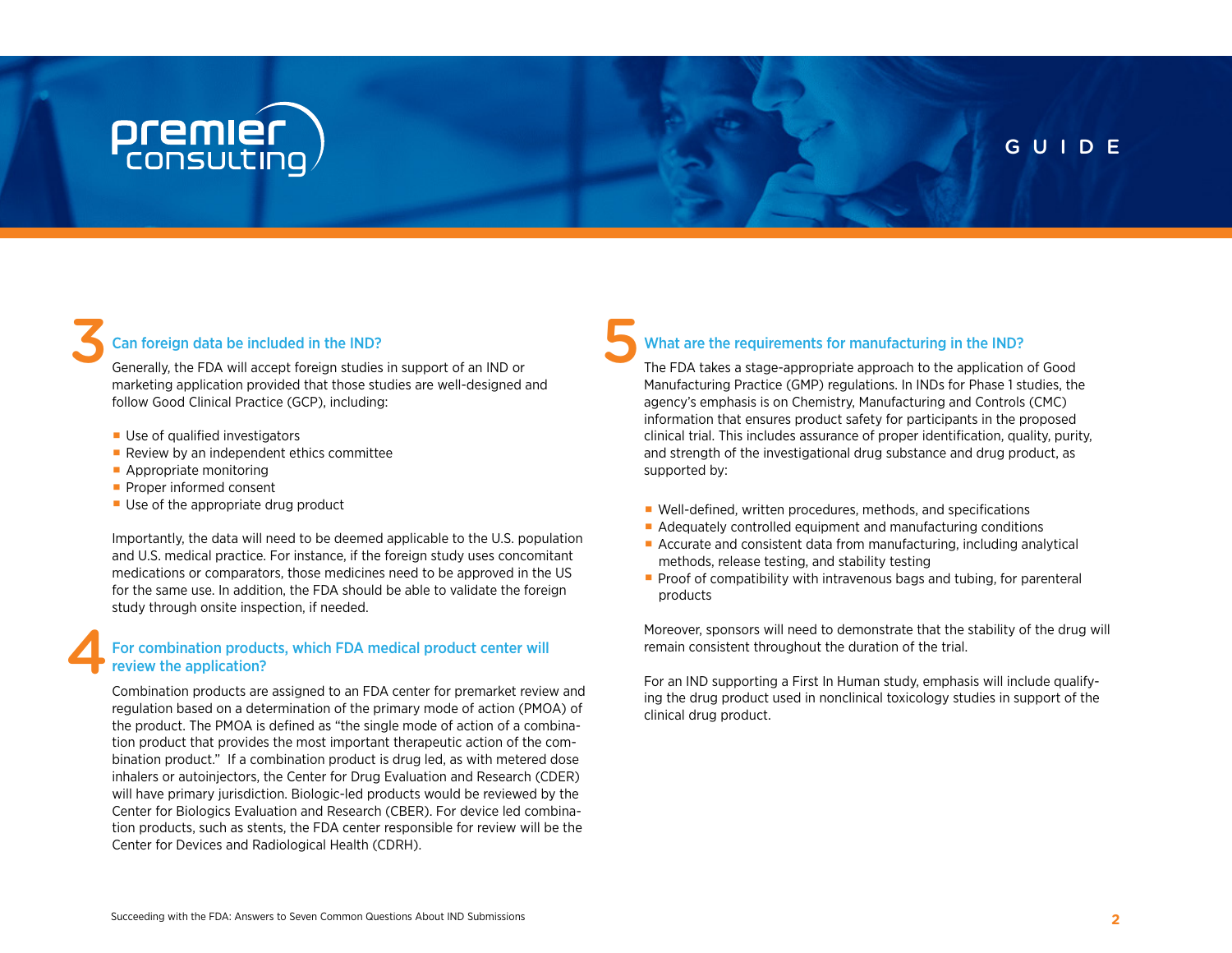### **premier**<br>consulting

#### GUIDE

#### Can foreign data be included in the IND?

Can foreign data be included in the IND?<br>
Generally, the FDA will accept foreign studies in support of an IND or marketing application provided that those studies are well-designed and follow Good Clinical Practice (GCP), including:

- Use of qualified investigators
- Review by an independent ethics committee
- Appropriate monitoring
- ∙ Proper informed consent
- Use of the appropriate drug product

Importantly, the data will need to be deemed applicable to the U.S. population and U.S. medical practice. For instance, if the foreign study uses concomitant medications or comparators, those medicines need to be approved in the US for the same use. In addition, the FDA should be able to validate the foreign study through onsite inspection, if needed.

#### For combination products, which FDA medical product center will review the application? 4

Combination products are assigned to an FDA center for premarket review and regulation based on a determination of the primary mode of action (PMOA) of the product. The PMOA is defined as "the single mode of action of a combination product that provides the most important therapeutic action of the combination product." If a combination product is drug led, as with metered dose inhalers or autoinjectors, the Center for Drug Evaluation and Research (CDER) will have primary jurisdiction. Biologic-led products would be reviewed by the Center for Biologics Evaluation and Research (CBER). For device led combination products, such as stents, the FDA center responsible for review will be the Center for Devices and Radiological Health (CDRH).

#### What are the requirements for manufacturing in the IND?

The FDA takes a stage-appropriate approach to the application of Good Manufacturing Practice (GMP) regulations. In INDs for Phase 1 studies, the agency's emphasis is on Chemistry, Manufacturing and Controls (CMC) information that ensures product safety for participants in the proposed clinical trial. This includes assurance of proper identification, quality, purity, and strength of the investigational drug substance and drug product, as supported by:

- Well-defined, written procedures, methods, and specifications
- Adequately controlled equipment and manufacturing conditions
- Accurate and consistent data from manufacturing, including analytical methods, release testing, and stability testing
- Proof of compatibility with intravenous bags and tubing, for parenteral products

Moreover, sponsors will need to demonstrate that the stability of the drug will remain consistent throughout the duration of the trial.

For an IND supporting a First In Human study, emphasis will include qualifying the drug product used in nonclinical toxicology studies in support of the clinical drug product.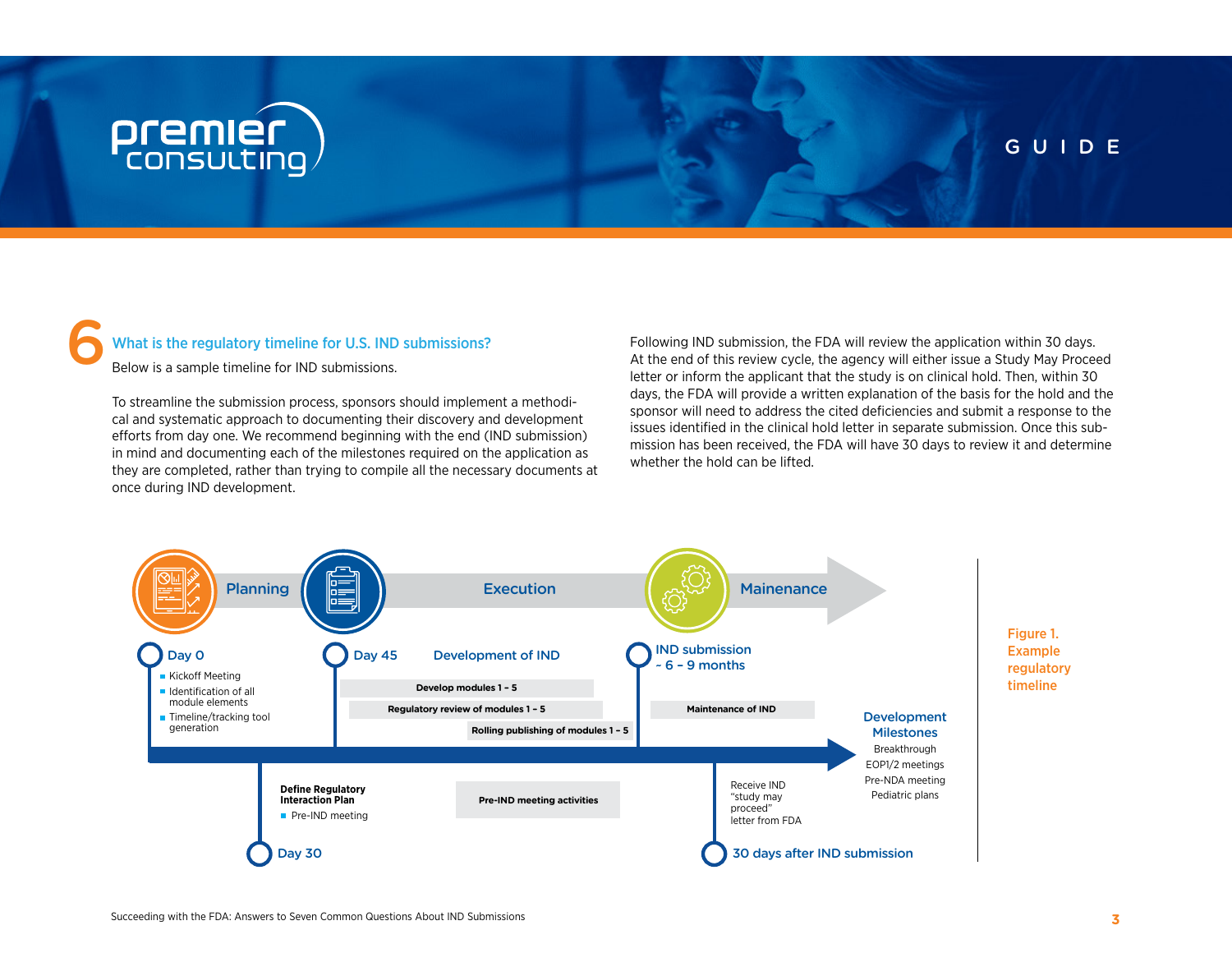## **premier**<br>consulting

#### GUIDE

### What is the regulatory timeline for U.S. IND submissions? 6

Below is a sample timeline for IND submissions.

To streamline the submission process, sponsors should implement a methodical and systematic approach to documenting their discovery and development efforts from day one. We recommend beginning with the end (IND submission) in mind and documenting each of the milestones required on the application as they are completed, rather than trying to compile all the necessary documents at once during IND development.

Following IND submission, the FDA will review the application within 30 days. At the end of this review cycle, the agency will either issue a Study May Proceed letter or inform the applicant that the study is on clinical hold. Then, within 30 days, the FDA will provide a written explanation of the basis for the hold and the sponsor will need to address the cited deficiencies and submit a response to the issues identified in the clinical hold letter in separate submission. Once this submission has been received, the FDA will have 30 days to review it and determine whether the hold can be lifted.

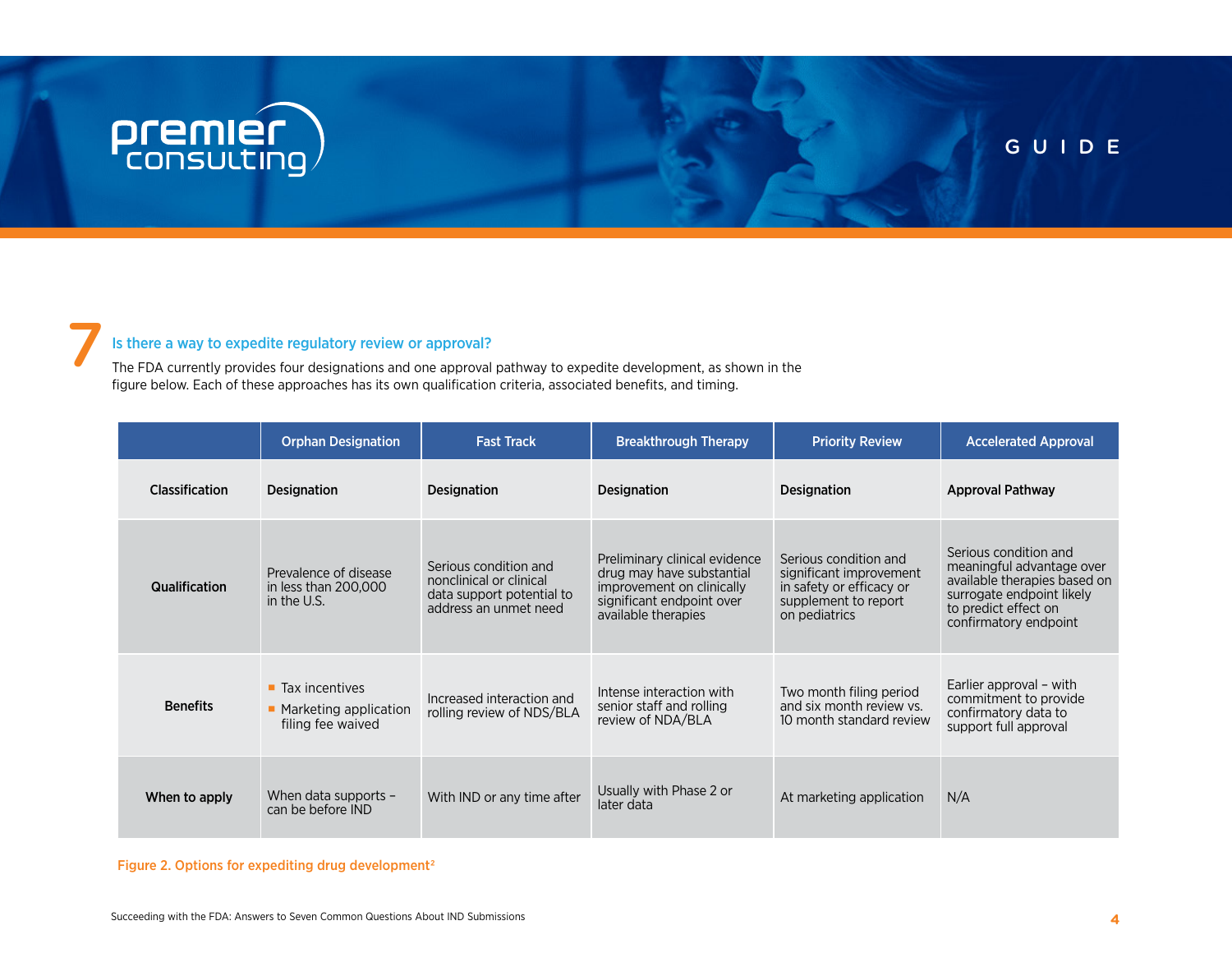# **premier** )

7

#### GUIDE

#### Is there a way to expedite regulatory review or approval?

The FDA currently provides four designations and one approval pathway to expedite development, as shown in the figure below. Each of these approaches has its own qualification criteria, associated benefits, and timing.

|                       | <b>Orphan Designation</b>                                                     | <b>Fast Track</b>                                                                                      | <b>Breakthrough Therapy</b>                                                                                                                 | <b>Priority Review</b>                                                                                                | <b>Accelerated Approval</b>                                                                                                                                      |
|-----------------------|-------------------------------------------------------------------------------|--------------------------------------------------------------------------------------------------------|---------------------------------------------------------------------------------------------------------------------------------------------|-----------------------------------------------------------------------------------------------------------------------|------------------------------------------------------------------------------------------------------------------------------------------------------------------|
| <b>Classification</b> | <b>Designation</b>                                                            | <b>Designation</b>                                                                                     | <b>Designation</b>                                                                                                                          | <b>Designation</b>                                                                                                    | <b>Approval Pathway</b>                                                                                                                                          |
| <b>Qualification</b>  | Prevalence of disease<br>in less than 200,000<br>in the U.S.                  | Serious condition and<br>nonclinical or clinical<br>data support potential to<br>address an unmet need | Preliminary clinical evidence<br>drug may have substantial<br>improvement on clinically<br>significant endpoint over<br>available therapies | Serious condition and<br>significant improvement<br>in safety or efficacy or<br>supplement to report<br>on pediatrics | Serious condition and<br>meaningful advantage over<br>available therapies based on<br>surrogate endpoint likely<br>to predict effect on<br>confirmatory endpoint |
| <b>Benefits</b>       | $\blacksquare$ Tax incentives<br>• Marketing application<br>filing fee waived | Increased interaction and<br>rolling review of NDS/BLA                                                 | Intense interaction with<br>senior staff and rolling<br>review of NDA/BLA                                                                   | Two month filing period<br>and six month review vs.<br>10 month standard review                                       | Earlier approval – with<br>commitment to provide<br>confirmatory data to<br>support full approval                                                                |
| When to apply         | When data supports -<br>can be before IND                                     | With IND or any time after                                                                             | Usually with Phase 2 or<br>later data                                                                                                       | At marketing application                                                                                              | N/A                                                                                                                                                              |

Figure 2. Options for expediting drug development<sup>2</sup>